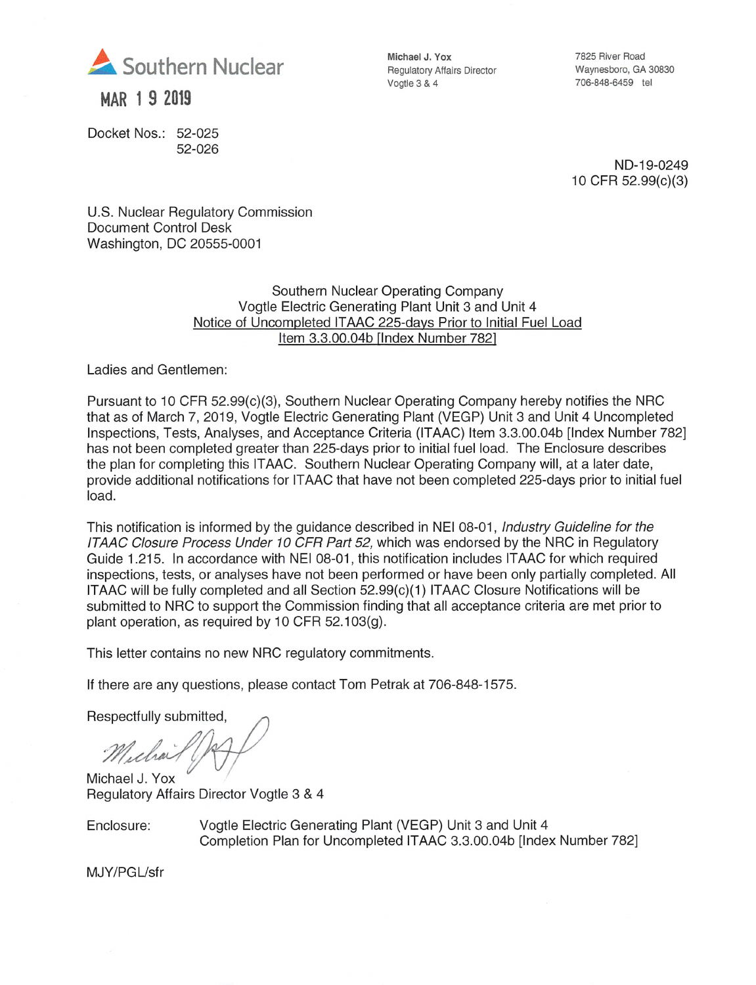

MAR 1 9 2019

Docket Nos.: 52-025 52-026 Michael J. Yox Regulatory Affairs Director Vogtie 3 & 4

7825 River Road Waynesboro, GA 30830 706-848-6459 tei

ND-19-0249 10CFR 52.99(c)(3)

U.S. Nuclear Regulatory Commission Document Control Desk Washington, DC 20555-0001

## Southern Nuclear Operating Company Vogtie Electric Generating Plant Unit 3 and Unit 4 Notice of Uncompleted ITAAC 225-davs Prior to Initial Fuel Load Item 3.3.00.04b [Index Number 7821

Ladies and Gentlemen:

Pursuant to 10 CFR 52.99(c)(3), Southern Nuclear Operating Company hereby notifies the NRC that as of March 7, 2019, Vogtie Electric Generating Plant (VEGP) Unit 3 and Unit 4 Uncompleted Inspections, Tests, Analyses, and Acceptance Criteria (ITAAC) Item 3.3.00.04b [Index Number 782] has not been completed greater than 225-days prior to initial fuel load. The Enclosure describes the plan for completing this ITAAC. Southern Nuclear Operating Company will, at a later date, provide additional notifications for ITAAC that have not been completed 225-days prior to initial fuel load.

This notification is informed by the guidance described in NEI 08-01, Industry Guideline for the ITAAC Closure Process Under 10 CFR Part 52, which was endorsed by the NRC in Regulatory Guide 1.215. In accordance with NEI 08-01, this notification includes ITAAC for which required inspections, tests, or analyses have not been performed or have been only partially completed. All ITAAC will be fully completed and all Section 52.99(c)(1) ITAAC Closure Notifications will be submitted to NRC to support the Commission finding that all acceptance criteria are met prior to plant operation, as required by 10 CFR 52.103(g).

This letter contains no new NRC regulatory commitments.

If there are any questions, please contact Tom Petrak at 706-848-1575.

Respectfully submitted.

Michail

Michael J. Yox Regulatory Affairs Director Vogtie 3 & 4

Enclosure: Vogtie Electric Generating Plant (VEGP) Unit 3 and Unit 4 Completion Plan for Uncompleted ITAAC 3.3.00.04b [Index Number 782]

MJY/PGL/sfr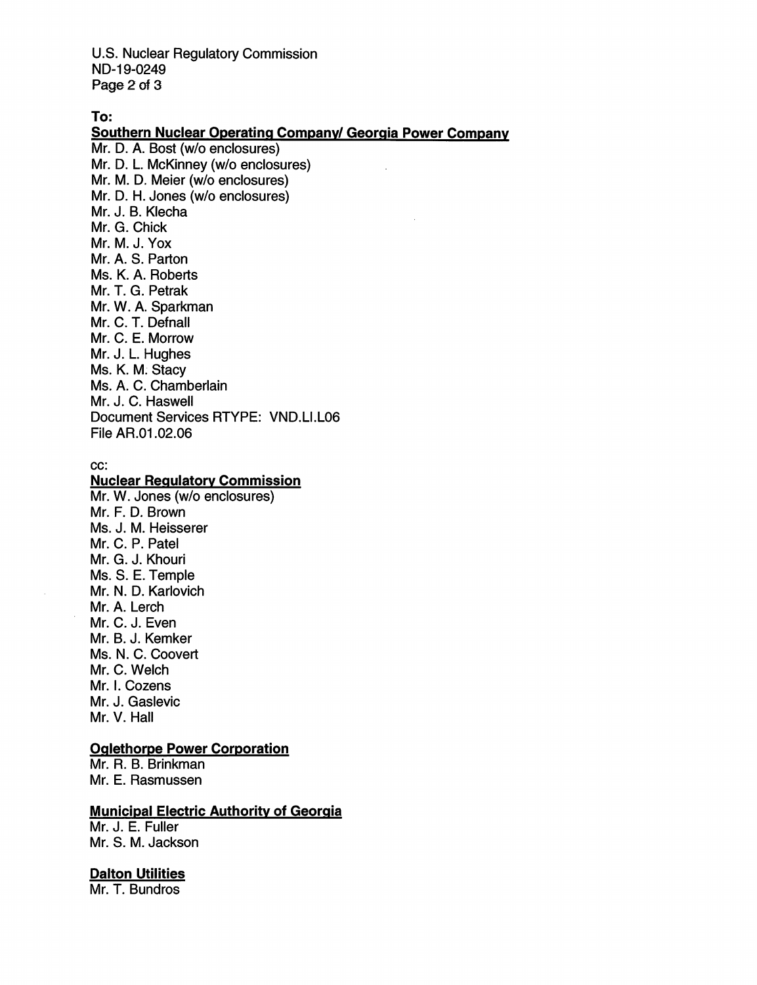U.S. Nuclear Regulatory Commission ND-19-0249 Page 2 of 3

To:

# Southern Nuclear Operating Company/ Georgia Power Company

Mr. D. A. Bost (w/o enclosures) Mr. D. L. McKinney (w/o enclosures) Mr. M. D. Meier (w/o enclosures) Mr. D. H. Jones (w/o enclosures) Mr. J. B. Klecha Mr. G. Chick Mr. M. J. Yox Mr. A. S. Parton Ms. K. A. Roberts Mr. T. G. Petrak Mr. W. A. Sparkman Mr. C. T. Defnall Mr. C. E. Morrow Mr. J. L. Hughes Ms. K. M. Stacy Ms. A. C. Chamberlain Mr. J. C. Haswell Document Services RTYPE: VND.LI.L06 Fiie AR.01.02.06

#### cc:

# **Nuclear Regulatory Commission**

Mr. W. Jones (w/o enclosures) Mr. F. D. Brown Ms. J. M. Heisserer Mr. C. P. Patel Mr. G. J. Khouri Ms. S. E. Temple Mr. N. D. Karlovich Mr. A. Lerch Mr. C. J. Even Mr. B. J. Kemker Ms. N. C. Coovert Mr. C. Welch Mr. I. Cozens Mr. J. Gaslevic Mr. V. Hall

# Oalethorpe Power Corporation

Mr. R. B. Brinkman Mr. E. Rasmussen

# **Municipal Electric Authority of Georgia**

Mr. J. E. Fuller Mr. S. M. Jackson

## Dalton Utilities

Mr. T. Bundros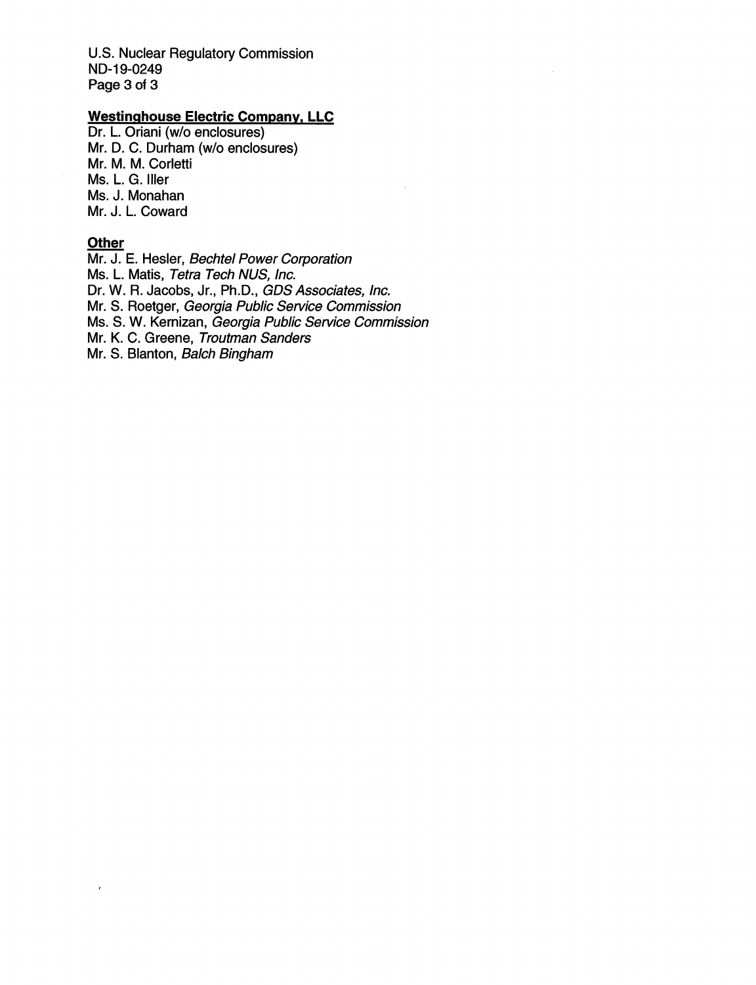U.S. Nuclear Regulatory Commission ND-19-0249 Page 3 of 3

# Westinahouse Electric Company. LLC

Dr. L. Oriani (w/o enclosures) Mr. D. C. Durham (w/o enclosures) Mr. M. M. Corletti Ms. L. G. Iller Ms. J. Monahan Mr. J. L. Coward

#### **Other**

 $\bar{z}$ 

Mr. J. E. Hosier, Bechtel Power Corporation Ms. L. Matis, Tetra Tech NUS, Inc. Dr. W. R. Jacobs, Jr., Ph.D., GDS Associates, inc. Mr. 8. Roetger, Georgia Public Service Commission Ms. 8. W. Kemizan, Georgia Public Service Commission Mr. K. C. Greene, Troutman Sanders Mr. S. Blanton, Balch Bingham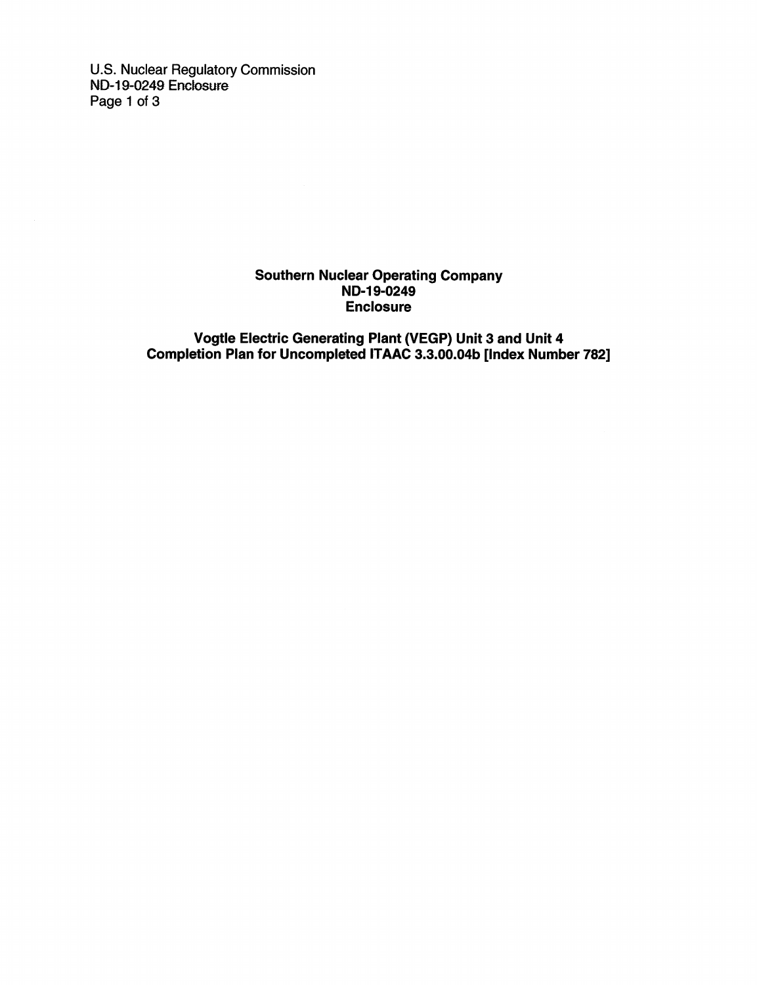U.S. Nuclear Regulatory Commission ND-19-0249 Enclosure Page 1 of 3

## Southern Nuclear Operating Company ND-19-0249 Enclosure

Vogtle Electric Generating Plant (VEGP) Unit 3 and Unit 4 Completion Plan for Uncompleted ITAAC 3.3.00.04b [Index Number 782]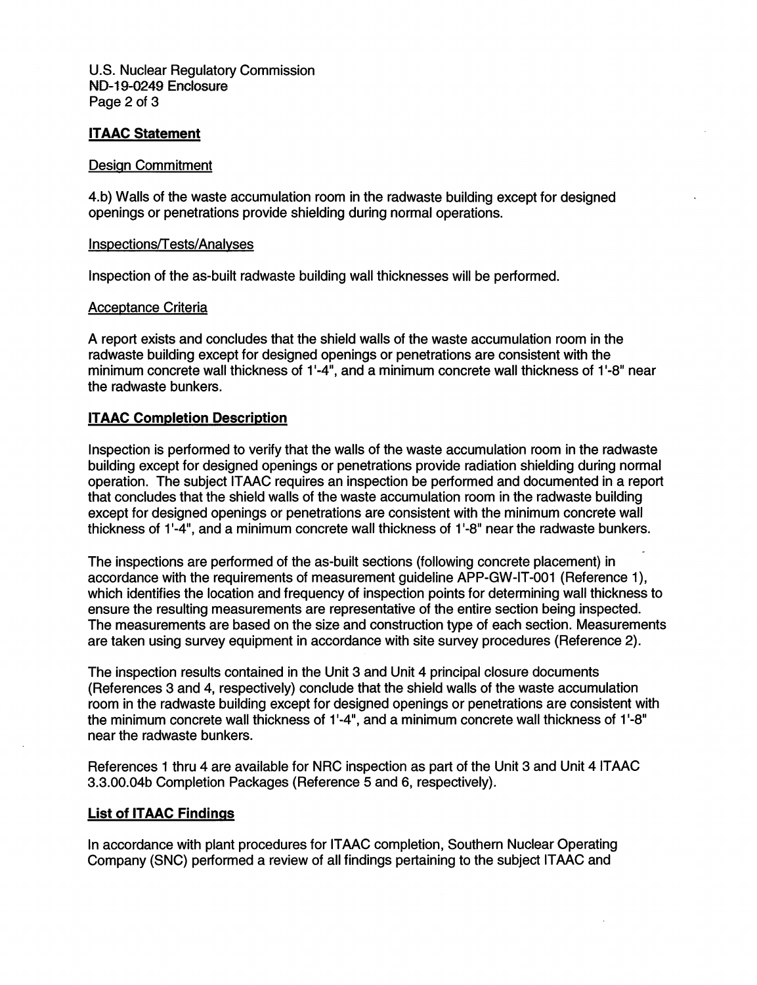U.S. Nuclear Regulatory Commission ND-19-0249 Enclosure Page 2 of 3

# ITAAC Statement

#### Design Commitment

4.b) Walls of the waste accumulation room in the radwaste building except for designed openings or penetrations provide shielding during normal operations.

#### Inspections/T ests/Analvses

Inspection of the as-built radwaste building wall thicknesses will be performed.

## Acceotance Criteria

A report exists and concludes that the shield walls of the waste accumulation room in the radwaste building except for designed openings or penetrations are consistent with the minimum concrete wall thickness of 1 '-4", and a minimum concrete wall thickness of 1 '-8" near the radwaste bunkers.

## ITAAC Completion Description

Inspection is performed to verify that the walls of the waste accumulation room in the radwaste building except for designed openings or penetrations provide radiation shielding during normal operation. The subject ITAAC requires an inspection be performed and documented in a report that concludes that the shield walls of the waste accumulation room in the radwaste building except for designed openings or penetrations are consistent with the minimum concrete wall thickness of 1'-4", and a minimum concrete wall thickness of 1 '-8" near the radwaste bunkers.

The inspections are performed of the as-built sections (following concrete placement) in accordance with the requirements of measurement guideline APP-GW-IT-001 (Reference 1), which identifies the location and frequency of inspection points for determining wall thickness to ensure the resulting measurements are representative of the entire section being inspected. The measurements are based on the size and construction type of each section. Measurements are taken using survey equipment in accordance with site survey procedures (Reference 2).

The inspection results contained in the Unit 3 and Unit 4 principal closure documents (References 3 and 4, respectively) conclude that the shield walls of the waste accumulation room in the radwaste building except for designed openings or penetrations are consistent with the minimum concrete wall thickness of 1'-4", and a minimum concrete wall thickness of 1'-8" near the radwaste bunkers.

References 1 thru 4 are available for NRC inspection as part of the Unit 3 and Unit 4 ITAAC 3.3.00.04b Completion Packages (Reference 5 and 6, respectively).

## List of ITAAC Findings

In accordance with plant procedures for ITAAC completion, Southern Nuclear Operating Company (SNC) performed a review of all findings pertaining to the subject ITAAC and